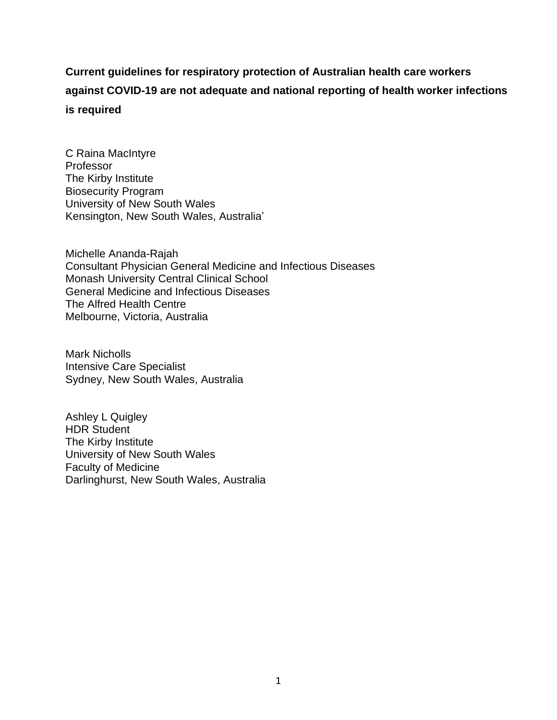## **Current guidelines for respiratory protection of Australian health care workers against COVID-19 are not adequate and national reporting of health worker infections is required**

C Raina MacIntyre Professor The Kirby Institute Biosecurity Program University of New South Wales Kensington, New South Wales, Australia'

Michelle Ananda-Rajah Consultant Physician General Medicine and Infectious Diseases Monash University Central Clinical School General Medicine and Infectious Diseases The Alfred Health Centre Melbourne, Victoria, Australia

Mark Nicholls Intensive Care Specialist Sydney, New South Wales, Australia

Ashley L Quigley HDR Student The Kirby Institute University of New South Wales Faculty of Medicine Darlinghurst, New South Wales, Australia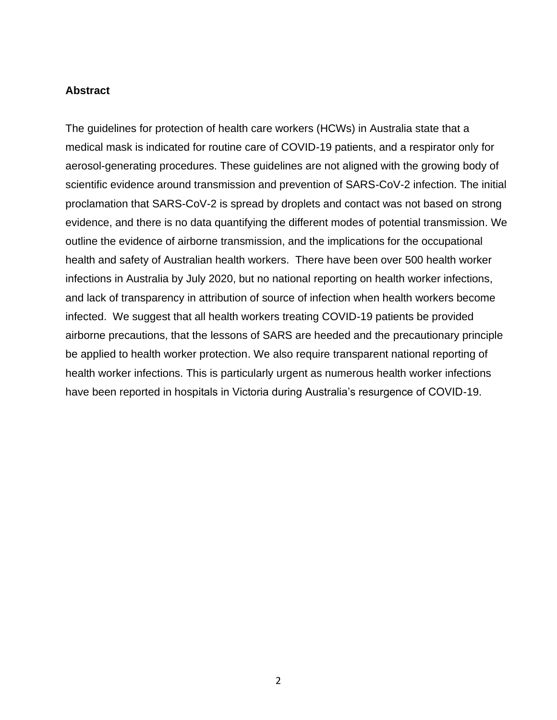## **Abstract**

The guidelines for protection of health care workers (HCWs) in Australia state that a medical mask is indicated for routine care of COVID-19 patients, and a respirator only for aerosol-generating procedures. These guidelines are not aligned with the growing body of scientific evidence around transmission and prevention of SARS-CoV-2 infection. The initial proclamation that SARS-CoV-2 is spread by droplets and contact was not based on strong evidence, and there is no data quantifying the different modes of potential transmission. We outline the evidence of airborne transmission, and the implications for the occupational health and safety of Australian health workers. There have been over 500 health worker infections in Australia by July 2020, but no national reporting on health worker infections, and lack of transparency in attribution of source of infection when health workers become infected. We suggest that all health workers treating COVID-19 patients be provided airborne precautions, that the lessons of SARS are heeded and the precautionary principle be applied to health worker protection. We also require transparent national reporting of health worker infections. This is particularly urgent as numerous health worker infections have been reported in hospitals in Victoria during Australia's resurgence of COVID-19.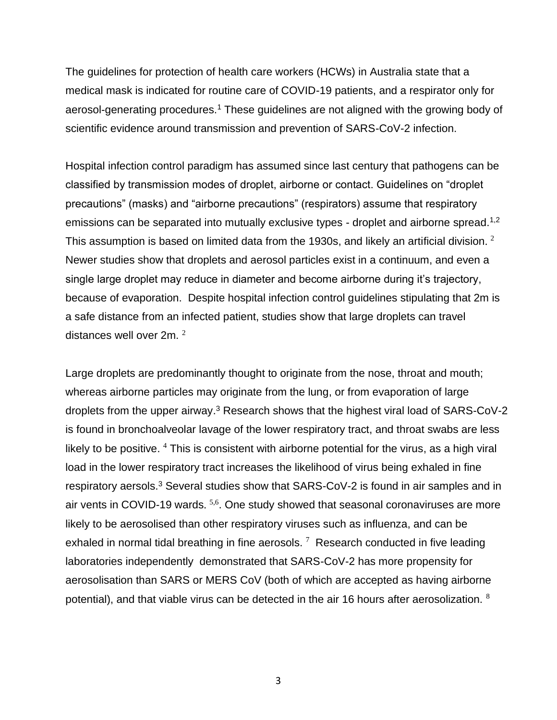The guidelines for protection of health care workers (HCWs) in Australia state that a medical mask is indicated for routine care of COVID-19 patients, and a respirator only for aerosol-generating procedures.<sup>1</sup> These guidelines are not aligned with the growing body of scientific evidence around transmission and prevention of SARS-CoV-2 infection.

Hospital infection control paradigm has assumed since last century that pathogens can be classified by transmission modes of droplet, airborne or contact. Guidelines on "droplet precautions" (masks) and "airborne precautions" (respirators) assume that respiratory emissions can be separated into mutually exclusive types - droplet and airborne spread.<sup>1,2</sup> This assumption is based on limited data from the 1930s, and likely an artificial division.  $^2$ Newer studies show that droplets and aerosol particles exist in a continuum, and even a single large droplet may reduce in diameter and become airborne during it's trajectory, because of evaporation. Despite hospital infection control guidelines stipulating that 2m is a safe distance from an infected patient, studies show that large droplets can travel distances well over 2m.  $^2$ 

Large droplets are predominantly thought to originate from the nose, throat and mouth; whereas airborne particles may originate from the lung, or from evaporation of large droplets from the upper airway. <sup>3</sup> Research shows that the highest viral load of SARS-CoV-2 is found in bronchoalveolar lavage of the lower respiratory tract, and throat swabs are less likely to be positive.  $4$  This is consistent with airborne potential for the virus, as a high viral load in the lower respiratory tract increases the likelihood of virus being exhaled in fine respiratory aersols.<sup>3</sup> Several studies show that SARS-CoV-2 is found in air samples and in air vents in COVID-19 wards. <sup>5,6</sup>. One study showed that seasonal coronaviruses are more likely to be aerosolised than other respiratory viruses such as influenza, and can be exhaled in normal tidal breathing in fine aerosols.  $7$  Research conducted in five leading laboratories independently demonstrated that SARS-CoV-2 has more propensity for aerosolisation than SARS or MERS CoV (both of which are accepted as having airborne potential), and that viable virus can be detected in the air 16 hours after aerosolization. <sup>8</sup>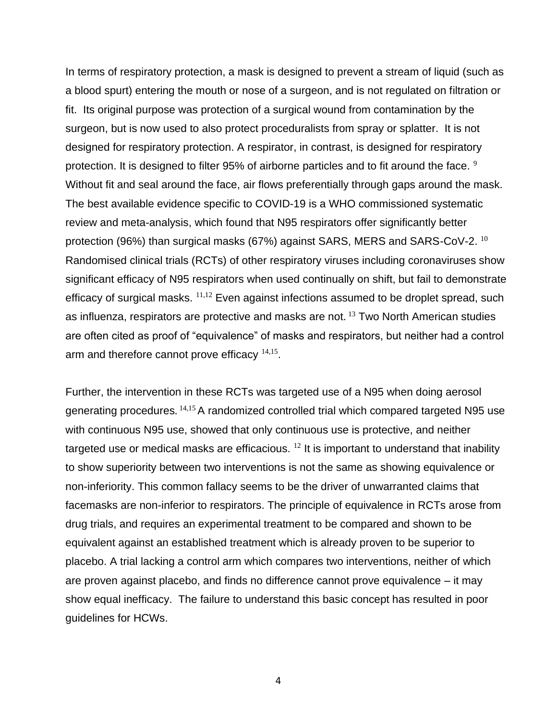In terms of respiratory protection, a mask is designed to prevent a stream of liquid (such as a blood spurt) entering the mouth or nose of a surgeon, and is not regulated on filtration or fit. Its original purpose was protection of a surgical wound from contamination by the surgeon, but is now used to also protect proceduralists from spray or splatter. It is not designed for respiratory protection. A respirator, in contrast, is designed for respiratory protection. It is designed to filter 95% of airborne particles and to fit around the face. <sup>9</sup> Without fit and seal around the face, air flows preferentially through gaps around the mask. The best available evidence specific to COVID-19 is a WHO commissioned systematic review and meta-analysis, which found that N95 respirators offer significantly better protection (96%) than surgical masks (67%) against SARS, MERS and SARS-CoV-2.  $^{10}$ Randomised clinical trials (RCTs) of other respiratory viruses including coronaviruses show significant efficacy of N95 respirators when used continually on shift, but fail to demonstrate efficacy of surgical masks.  $11,12$  Even against infections assumed to be droplet spread, such as influenza, respirators are protective and masks are not.<sup>13</sup> Two North American studies are often cited as proof of "equivalence" of masks and respirators, but neither had a control arm and therefore cannot prove efficacy  $14,15$ .

Further, the intervention in these RCTs was targeted use of a N95 when doing aerosol generating procedures. <sup>14,15</sup> A randomized controlled trial which compared targeted N95 use with continuous N95 use, showed that only continuous use is protective, and neither targeted use or medical masks are efficacious.  $^{12}$  It is important to understand that inability to show superiority between two interventions is not the same as showing equivalence or non-inferiority. This common fallacy seems to be the driver of unwarranted claims that facemasks are non-inferior to respirators. The principle of equivalence in RCTs arose from drug trials, and requires an experimental treatment to be compared and shown to be equivalent against an established treatment which is already proven to be superior to placebo. A trial lacking a control arm which compares two interventions, neither of which are proven against placebo, and finds no difference cannot prove equivalence – it may show equal inefficacy. The failure to understand this basic concept has resulted in poor guidelines for HCWs.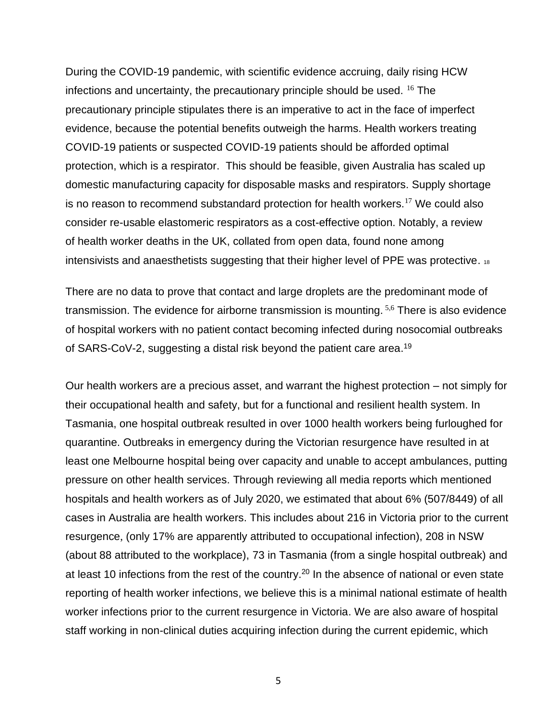During the COVID-19 pandemic, with scientific evidence accruing, daily rising HCW infections and uncertainty, the precautionary principle should be used. <sup>16</sup> The precautionary principle stipulates there is an imperative to act in the face of imperfect evidence, because the potential benefits outweigh the harms. Health workers treating COVID-19 patients or suspected COVID-19 patients should be afforded optimal protection, which is a respirator. This should be feasible, given Australia has scaled up domestic manufacturing capacity for disposable masks and respirators. Supply shortage is no reason to recommend substandard protection for health workers.<sup>17</sup> We could also consider re-usable elastomeric respirators as a cost-effective option. Notably, a review of health worker deaths in the UK, collated from open data, found none among intensivists and anaesthetists suggesting that their higher level of PPE was protective. <sup>18</sup>

There are no data to prove that contact and large droplets are the predominant mode of transmission. The evidence for airborne transmission is mounting. <sup>5,6</sup> There is also evidence of hospital workers with no patient contact becoming infected during nosocomial outbreaks of SARS-CoV-2, suggesting a distal risk beyond the patient care area.<sup>19</sup>

Our health workers are a precious asset, and warrant the highest protection – not simply for their occupational health and safety, but for a functional and resilient health system. In Tasmania, one hospital outbreak resulted in over 1000 health workers being furloughed for quarantine. Outbreaks in emergency during the Victorian resurgence have resulted in at least one Melbourne hospital being over capacity and unable to accept ambulances, putting pressure on other health services. Through reviewing all media reports which mentioned hospitals and health workers as of July 2020, we estimated that about 6% (507/8449) of all cases in Australia are health workers. This includes about 216 in Victoria prior to the current resurgence, (only 17% are apparently attributed to occupational infection), 208 in NSW (about 88 attributed to the workplace), 73 in Tasmania (from a single hospital outbreak) and at least 10 infections from the rest of the country.<sup>20</sup> In the absence of national or even state reporting of health worker infections, we believe this is a minimal national estimate of health worker infections prior to the current resurgence in Victoria. We are also aware of hospital staff working in non-clinical duties acquiring infection during the current epidemic, which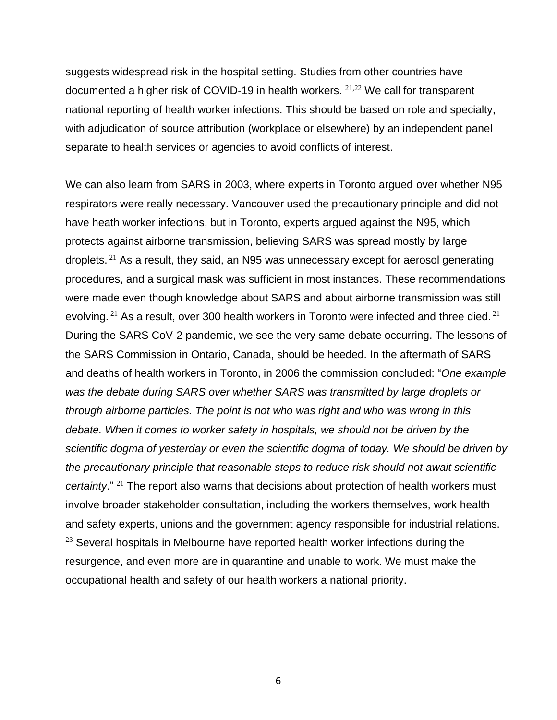suggests widespread risk in the hospital setting. Studies from other countries have documented a higher risk of COVID-19 in health workers.  $21,22$  We call for transparent national reporting of health worker infections. This should be based on role and specialty, with adjudication of source attribution (workplace or elsewhere) by an independent panel separate to health services or agencies to avoid conflicts of interest.

We can also learn from SARS in 2003, where experts in Toronto argued over whether N95 respirators were really necessary. Vancouver used the precautionary principle and did not have heath worker infections, but in Toronto, experts argued against the N95, which protects against airborne transmission, believing SARS was spread mostly by large droplets. <sup>21</sup> As a result, they said, an N95 was unnecessary except for aerosol generating procedures, and a surgical mask was sufficient in most instances. These recommendations were made even though knowledge about SARS and about airborne transmission was still evolving. <sup>21</sup> As a result, over 300 health workers in Toronto were infected and three died. <sup>21</sup> During the SARS CoV-2 pandemic, we see the very same debate occurring. The lessons of the SARS Commission in Ontario, Canada, should be heeded. In the aftermath of SARS and deaths of health workers in Toronto, in 2006 the commission concluded: "*One example was the debate during SARS over whether SARS was transmitted by large droplets or through airborne particles. The point is not who was right and who was wrong in this debate. When it comes to worker safety in hospitals, we should not be driven by the scientific dogma of yesterday or even the scientific dogma of today. We should be driven by the precautionary principle that reasonable steps to reduce risk should not await scientific certainty*." <sup>21</sup> The report also warns that decisions about protection of health workers must involve broader stakeholder consultation, including the workers themselves, work health and safety experts, unions and the government agency responsible for industrial relations.  $23$  Several hospitals in Melbourne have reported health worker infections during the resurgence, and even more are in quarantine and unable to work. We must make the occupational health and safety of our health workers a national priority.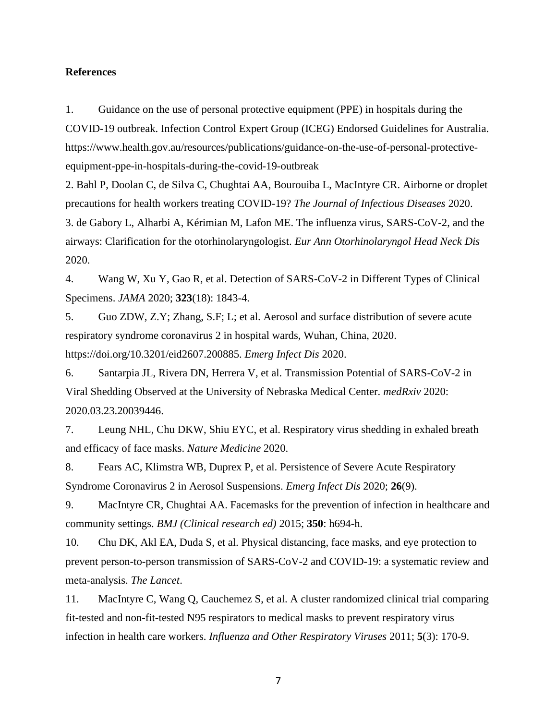## **References**

1. Guidance on the use of personal protective equipment (PPE) in hospitals during the COVID-19 outbreak. Infection Control Expert Group (ICEG) Endorsed Guidelines for Australia. https://www.health.gov.au/resources/publications/guidance-on-the-use-of-personal-protectiveequipment-ppe-in-hospitals-during-the-covid-19-outbreak

2. Bahl P, Doolan C, de Silva C, Chughtai AA, Bourouiba L, MacIntyre CR. Airborne or droplet precautions for health workers treating COVID-19? *The Journal of Infectious Diseases* 2020. 3. de Gabory L, Alharbi A, Kérimian M, Lafon ME. The influenza virus, SARS-CoV-2, and the airways: Clarification for the otorhinolaryngologist. *Eur Ann Otorhinolaryngol Head Neck Dis* 2020.

4. Wang W, Xu Y, Gao R, et al. Detection of SARS-CoV-2 in Different Types of Clinical Specimens. *JAMA* 2020; **323**(18): 1843-4.

5. Guo ZDW, Z.Y; Zhang, S.F; L; et al. Aerosol and surface distribution of severe acute respiratory syndrome coronavirus 2 in hospital wards, Wuhan, China, 2020. https://doi.org/10.3201/eid2607.200885. *Emerg Infect Dis* 2020.

6. Santarpia JL, Rivera DN, Herrera V, et al. Transmission Potential of SARS-CoV-2 in Viral Shedding Observed at the University of Nebraska Medical Center. *medRxiv* 2020: 2020.03.23.20039446.

7. Leung NHL, Chu DKW, Shiu EYC, et al. Respiratory virus shedding in exhaled breath and efficacy of face masks. *Nature Medicine* 2020.

8. Fears AC, Klimstra WB, Duprex P, et al. Persistence of Severe Acute Respiratory Syndrome Coronavirus 2 in Aerosol Suspensions. *Emerg Infect Dis* 2020; **26**(9).

9. MacIntyre CR, Chughtai AA. Facemasks for the prevention of infection in healthcare and community settings. *BMJ (Clinical research ed)* 2015; **350**: h694-h.

10. Chu DK, Akl EA, Duda S, et al. Physical distancing, face masks, and eye protection to prevent person-to-person transmission of SARS-CoV-2 and COVID-19: a systematic review and meta-analysis. *The Lancet*.

11. MacIntyre C, Wang Q, Cauchemez S, et al. A cluster randomized clinical trial comparing fit-tested and non-fit-tested N95 respirators to medical masks to prevent respiratory virus infection in health care workers. *Influenza and Other Respiratory Viruses* 2011; **5**(3): 170-9.